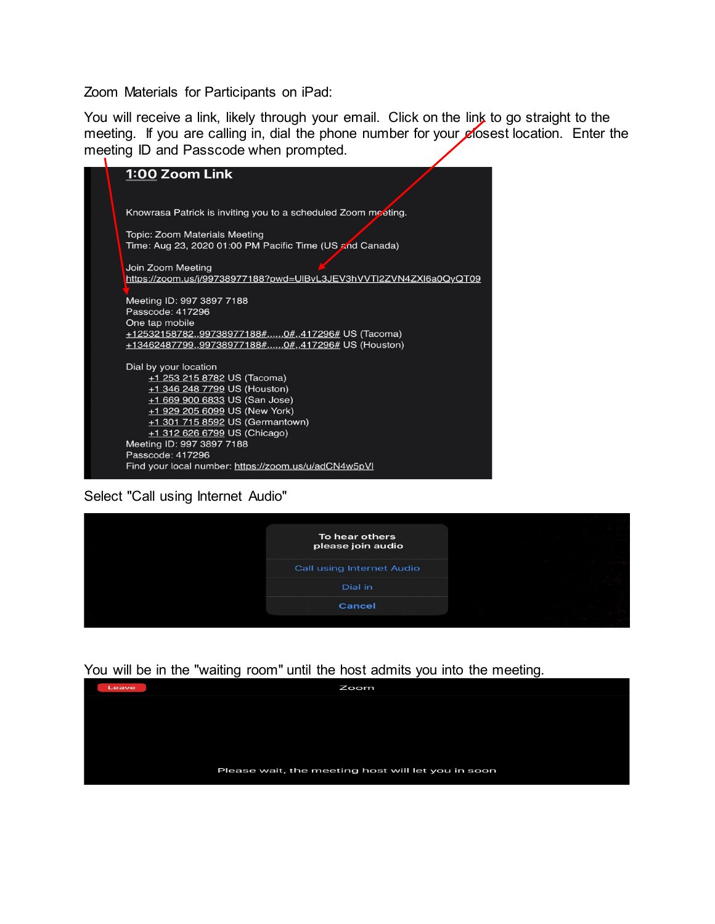Zoom Materials for Participants on iPad:

You will receive a link, likely through your email. Click on the link to go straight to the meeting. If you are calling in, dial the phone number for your closest location. Enter the meeting ID and Passcode when prompted.

| 1:00 Zoom Link                                                     |
|--------------------------------------------------------------------|
|                                                                    |
| Knowrasa Patrick is inviting you to a scheduled Zoom meeting.      |
| <b>Topic: Zoom Materials Meeting</b>                               |
| Time: Aug 23, 2020 01:00 PM Pacific Time (US and Canada)           |
| Join Zoom Meeting                                                  |
| https://zoom.us/j/99738977188?pwd=UIBvL3JEV3hVVTI2ZVN4ZXI6a0QyQT09 |
| Meeting ID: 997 3897 7188                                          |
| Passcode: 417296                                                   |
| One tap mobile                                                     |
| +12532158782,,99738977188#,,,,,,,0#,,417296# US (Tacoma)           |
| +13462487799,,99738977188#,,,,,,0#,,417296# US (Houston)           |
| Dial by your location                                              |
| +1 253 215 8782 US (Tacoma)                                        |
| +1 346 248 7799 US (Houston)                                       |
| $+16699006833US$ (San Jose)                                        |
| $+1$ 929 205 6099 US (New York)                                    |
| +1 301 715 8592 US (Germantown)                                    |
| +1 312 626 6799 US (Chicago)                                       |
| Meeting ID: 997 3897 7188                                          |
| Passcode: 417296                                                   |
| Find your local number: https://zoom.us/u/adCN4w5pVI               |

Select "Call using Internet Audio"

| To hear others<br>please join audio |  |
|-------------------------------------|--|
| Call using Internet Audio           |  |
| Dial in                             |  |
| Cancel                              |  |
|                                     |  |

You will be in the "waiting room" until the host admits you into the meeting.

| Leave | Zoom                                               |
|-------|----------------------------------------------------|
|       |                                                    |
|       |                                                    |
|       |                                                    |
|       |                                                    |
|       | Please wait, the meeting host will let you in soon |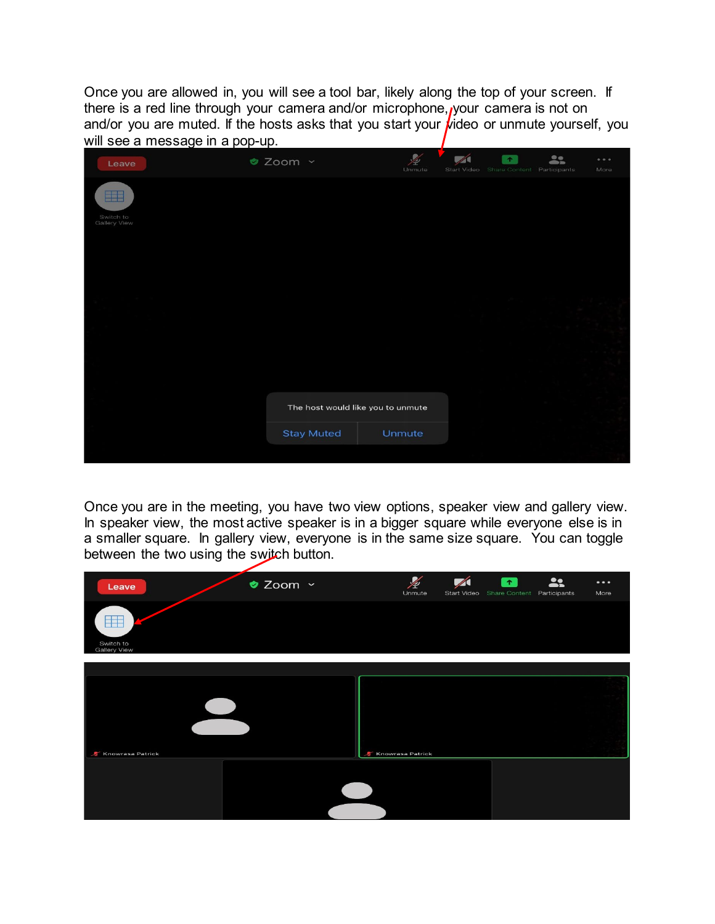Once you are allowed in, you will see a tool bar, likely along the top of your screen. If there is a red line through your camera and/or microphone, your camera is not on and/or you are muted. If the hosts asks that you start your  $\hat{\mu}$ ideo or unmute yourself, you will see a message in a pop-up.

| Leave                                   | ● Zoom ~                          | Unmute | Start Video Share Content Participants | $\bullet$ | $\stackrel{\bullet}{\bullet}$ | 0.0.0<br>More |
|-----------------------------------------|-----------------------------------|--------|----------------------------------------|-----------|-------------------------------|---------------|
| <b>BBB</b><br>Switch to<br>Gallery View |                                   |        |                                        |           |                               |               |
|                                         |                                   |        |                                        |           |                               |               |
|                                         |                                   |        |                                        |           |                               |               |
|                                         |                                   |        |                                        |           |                               |               |
|                                         | The host would like you to unmute |        |                                        |           |                               |               |
|                                         | <b>Stay Muted</b>                 | Unmute |                                        |           |                               |               |
|                                         |                                   |        |                                        |           |                               |               |

Once you are in the meeting, you have two view options, speaker view and gallery view. In speaker view, the most active speaker is in a bigger square while everyone else is in a smaller square. In gallery view, everyone is in the same size square. You can toggle between the two using the switch button.

| Leave                            | ● Zoom ~ | $\frac{\cancel{2}}{\cancel{2}}$<br>Unmute | $\sqrt{}$<br>Start Video Share Content Participants | <b>STATE</b> | <b>Allen Andre</b> | $\bullet\bullet\bullet$<br>More |
|----------------------------------|----------|-------------------------------------------|-----------------------------------------------------|--------------|--------------------|---------------------------------|
| Switch to<br><b>Gallery View</b> |          |                                           |                                                     |              |                    |                                 |
|                                  |          |                                           |                                                     |              |                    |                                 |
|                                  |          |                                           |                                                     |              |                    |                                 |
| Knowrasa Patrick                 |          | <b>Knowrasa Patrick</b>                   |                                                     |              |                    |                                 |
|                                  |          |                                           |                                                     |              |                    |                                 |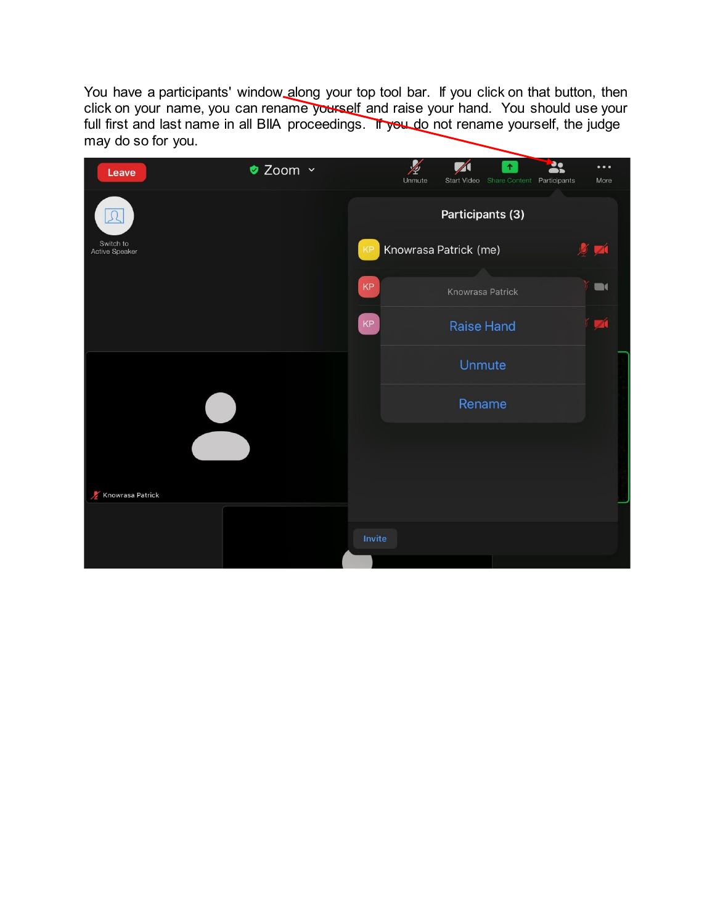You have a participants' window along your top tool bar. If you click on that button, then click on your name, you can rename yourself and raise your hand. You should use your full first and last name in all BIIA proceedings. If you do not rename yourself, the judge may do so for you.

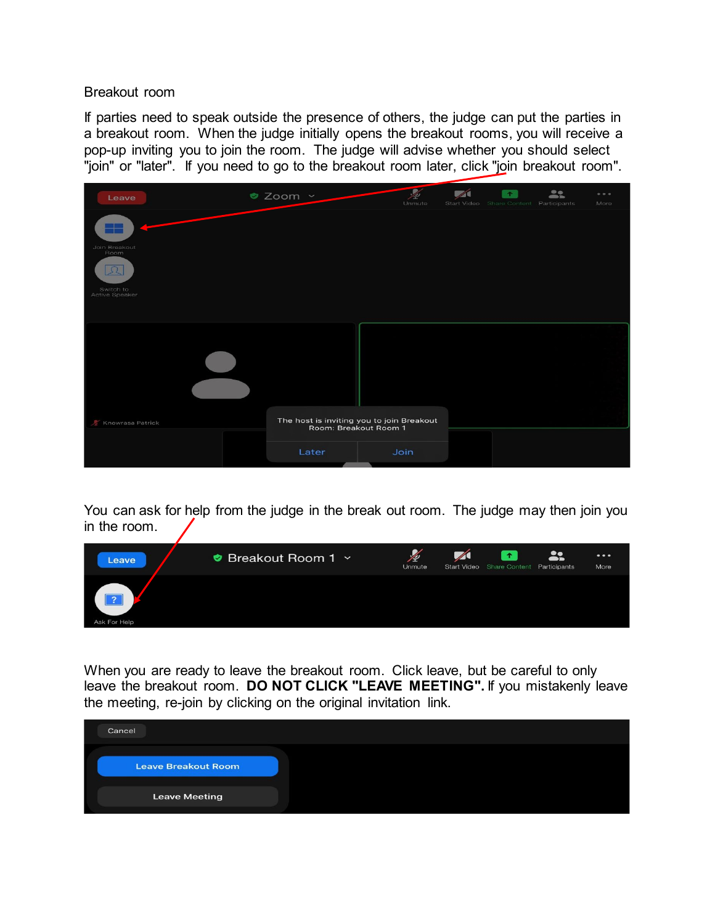Breakout room

If parties need to speak outside the presence of others, the judge can put the parties in a breakout room. When the judge initially opens the breakout rooms, you will receive a pop-up inviting you to join the room. The judge will advise whether you should select "join" or "later". If you need to go to the breakout room later, click "join breakout room".

| Leave                                                            | ● Zoom ~                                                           | $\bullet$<br>Unmute | $\bullet$<br>Start Video Share Content Participants | $\bullet$<br>$\overline{\phantom{a}}$ | 0.0.0<br>More |
|------------------------------------------------------------------|--------------------------------------------------------------------|---------------------|-----------------------------------------------------|---------------------------------------|---------------|
| Join Breakout<br>Room<br>$\Omega$<br>Switch to<br>Active Speaker |                                                                    |                     |                                                     |                                       |               |
| Knowrasa Patrick                                                 | The host is inviting you to join Breakout<br>Room: Breakout Room 1 |                     |                                                     |                                       |               |
|                                                                  | Later                                                              | Join                |                                                     |                                       |               |

You can ask for help from the judge in the break out room. The judge may then join you in the room.



When you are ready to leave the breakout room. Click leave, but be careful to only leave the breakout room. **DO NOT CLICK "LEAVE MEETING".** If you mistakenly leave the meeting, re-join by clicking on the original invitation link.

| Cancel               |  |
|----------------------|--|
| Leave Breakout Room  |  |
| <b>Leave Meeting</b> |  |